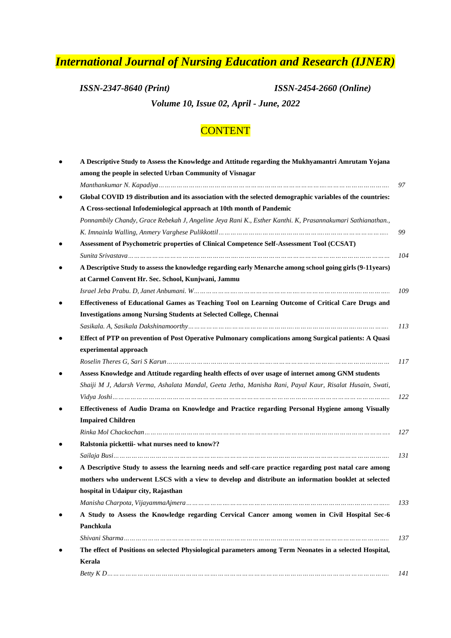## *International Journal of Nursing Education and Research (IJNER)*

*ISSN-2347-8640 (Print) ISSN-2454-2660 (Online)*

*Volume 10, Issue 02, April - June, 2022*

## **CONTENT**

|                | A Descriptive Study to Assess the Knowledge and Attitude regarding the Mukhyamantri Amrutam Yojana         |
|----------------|------------------------------------------------------------------------------------------------------------|
|                | among the people in selected Urban Community of Visnagar                                                   |
|                |                                                                                                            |
| ٠              | Global COVID 19 distribution and its association with the selected demographic variables of the countries: |
|                | A Cross-sectional Infodemiological approach at 10th month of Pandemic                                      |
|                | Ponnambily Chandy, Grace Rebekah J, Angeline Jeya Rani K., Esther Kanthi. K, Prasannakumari Sathianathan., |
|                |                                                                                                            |
| ٠              | Assessment of Psychometric properties of Clinical Competence Self-Assessment Tool (CCSAT)                  |
|                |                                                                                                            |
| ٠              | A Descriptive Study to assess the knowledge regarding early Menarche among school going girls (9-11years)  |
|                | at Carmel Convent Hr. Sec. School, Kunjwani, Jammu                                                         |
|                |                                                                                                            |
|                | Effectiveness of Educational Games as Teaching Tool on Learning Outcome of Critical Care Drugs and         |
|                | <b>Investigations among Nursing Students at Selected College, Chennai</b>                                  |
|                |                                                                                                            |
| ٠              | Effect of PTP on prevention of Post Operative Pulmonary complications among Surgical patients: A Quasi     |
|                | experimental approach                                                                                      |
|                |                                                                                                            |
| ٠              | Assess Knowledge and Attitude regarding health effects of over usage of internet among GNM students        |
|                | Shaiji M J, Adarsh Verma, Ashalata Mandal, Geeta Jetha, Manisha Rani, Payal Kaur, Risalat Husain, Swati,   |
|                |                                                                                                            |
| ٠<br>$\bullet$ | Effectiveness of Audio Drama on Knowledge and Practice regarding Personal Hygiene among Visually           |
|                | <b>Impaired Children</b>                                                                                   |
|                |                                                                                                            |
|                | Ralstonia pickettii- what nurses need to know??                                                            |
|                |                                                                                                            |
| ٠              | A Descriptive Study to assess the learning needs and self-care practice regarding post natal care among    |
|                | mothers who underwent LSCS with a view to develop and distribute an information booklet at selected        |
|                | hospital in Udaipur city, Rajasthan                                                                        |
|                |                                                                                                            |
| $\bullet$      | A Study to Assess the Knowledge regarding Cervical Cancer among women in Civil Hospital Sec-6              |
|                | Panchkula                                                                                                  |
|                |                                                                                                            |
| ٠              | The effect of Positions on selected Physiological parameters among Term Neonates in a selected Hospital,   |
|                | Kerala                                                                                                     |
|                |                                                                                                            |
|                |                                                                                                            |